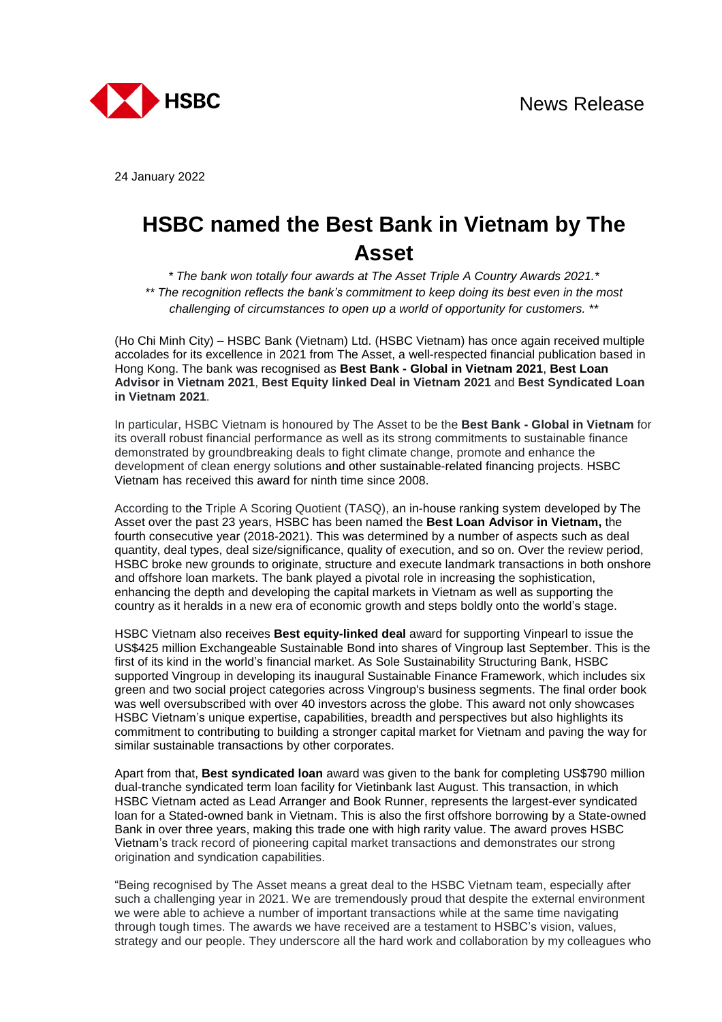

24 January 2022

## **HSBC named the Best Bank in Vietnam by The Asset**

*\* The bank won totally four awards at The Asset Triple A Country Awards 2021.\* \*\* The recognition reflects the bank's commitment to keep doing its best even in the most challenging of circumstances to open up a world of opportunity for customers. \*\**

(Ho Chi Minh City) – HSBC Bank (Vietnam) Ltd. (HSBC Vietnam) has once again received multiple accolades for its excellence in 2021 from The Asset, a well-respected financial publication based in Hong Kong. The bank was recognised as **Best Bank - Global in Vietnam 2021**, **Best Loan Advisor in Vietnam 2021**, **Best Equity linked Deal in Vietnam 2021** and **Best Syndicated Loan in Vietnam 2021**.

In particular, HSBC Vietnam is honoured by The Asset to be the **Best Bank - Global in Vietnam** for its overall robust financial performance as well as its strong commitments to sustainable finance demonstrated by groundbreaking deals to fight climate change, promote and enhance the development of clean energy solutions and other sustainable-related financing projects. HSBC Vietnam has received this award for ninth time since 2008.

According to the Triple A Scoring Quotient (TASQ), an in-house ranking system developed by The Asset over the past 23 years, HSBC has been named the **Best Loan Advisor in Vietnam,** the fourth consecutive year (2018-2021). This was determined by a number of aspects such as deal quantity, deal types, deal size/significance, quality of execution, and so on. Over the review period, HSBC broke new grounds to originate, structure and execute landmark transactions in both onshore and offshore loan markets. The bank played a pivotal role in increasing the sophistication, enhancing the depth and developing the capital markets in Vietnam as well as supporting the country as it heralds in a new era of economic growth and steps boldly onto the world's stage.

HSBC Vietnam also receives **Best equity-linked deal** award for supporting Vinpearl to issue the US\$425 million Exchangeable Sustainable Bond into shares of Vingroup last September. This is the first of its kind in the world's financial market. As Sole Sustainability Structuring Bank, HSBC supported Vingroup in developing its inaugural Sustainable Finance Framework, which includes six green and two social project categories across Vingroup's business segments. The final order book was well oversubscribed with over 40 investors across the globe. This award not only showcases HSBC Vietnam's unique expertise, capabilities, breadth and perspectives but also highlights its commitment to contributing to building a stronger capital market for Vietnam and paving the way for similar sustainable transactions by other corporates.

Apart from that, **Best syndicated loan** award was given to the bank for completing US\$790 million dual-tranche syndicated term loan facility for Vietinbank last August. This transaction, in which HSBC Vietnam acted as Lead Arranger and Book Runner, represents the largest-ever syndicated loan for a Stated-owned bank in Vietnam. This is also the first offshore borrowing by a State-owned Bank in over three years, making this trade one with high rarity value. The award proves HSBC Vietnam's track record of pioneering capital market transactions and demonstrates our strong origination and syndication capabilities.

"Being recognised by The Asset means a great deal to the HSBC Vietnam team, especially after such a challenging year in 2021. We are tremendously proud that despite the external environment we were able to achieve a number of important transactions while at the same time navigating through tough times. The awards we have received are a testament to HSBC's vision, values, strategy and our people. They underscore all the hard work and collaboration by my colleagues who